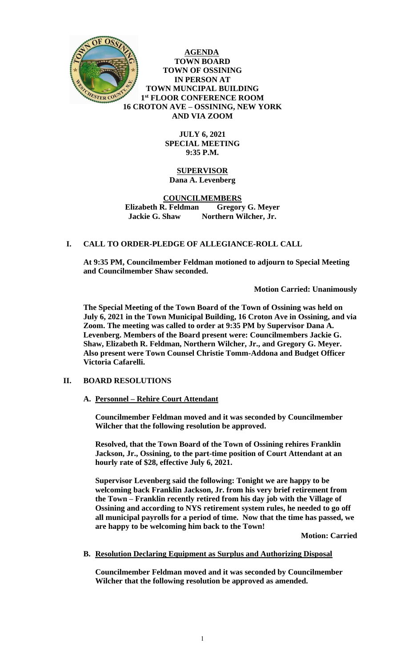

**AGENDA TOWN BOARD TOWN OF OSSINING IN PERSON AT TOWN MUNCIPAL BUILDING 1 st FLOOR CONFERENCE ROOM 16 CROTON AVE – OSSINING, NEW YORK AND VIA ZOOM**

> **JULY 6, 2021 SPECIAL MEETING 9:35 P.M.**

## **SUPERVISOR Dana A. Levenberg**

### **COUNCILMEMBERS Elizabeth R. Feldman Gregory G. Meyer Jackie G. Shaw Northern Wilcher, Jr.**

## **I. CALL TO ORDER-PLEDGE OF ALLEGIANCE-ROLL CALL**

**At 9:35 PM, Councilmember Feldman motioned to adjourn to Special Meeting and Councilmember Shaw seconded.** 

**Motion Carried: Unanimously**

**The Special Meeting of the Town Board of the Town of Ossining was held on July 6, 2021 in the Town Municipal Building, 16 Croton Ave in Ossining, and via Zoom. The meeting was called to order at 9:35 PM by Supervisor Dana A. Levenberg. Members of the Board present were: Councilmembers Jackie G. Shaw, Elizabeth R. Feldman, Northern Wilcher, Jr., and Gregory G. Meyer. Also present were Town Counsel Christie Tomm-Addona and Budget Officer Victoria Cafarelli.** 

# **II. BOARD RESOLUTIONS**

## **A. Personnel – Rehire Court Attendant**

**Councilmember Feldman moved and it was seconded by Councilmember Wilcher that the following resolution be approved.** 

**Resolved, that the Town Board of the Town of Ossining rehires Franklin Jackson, Jr., Ossining, to the part-time position of Court Attendant at an hourly rate of \$28, effective July 6, 2021.** 

**Supervisor Levenberg said the following: Tonight we are happy to be welcoming back Franklin Jackson, Jr. from his very brief retirement from the Town – Franklin recently retired from his day job with the Village of Ossining and according to NYS retirement system rules, he needed to go off all municipal payrolls for a period of time. Now that the time has passed, we are happy to be welcoming him back to the Town!**

**Motion: Carried**

# **B. Resolution Declaring Equipment as Surplus and Authorizing Disposal**

**Councilmember Feldman moved and it was seconded by Councilmember Wilcher that the following resolution be approved as amended.**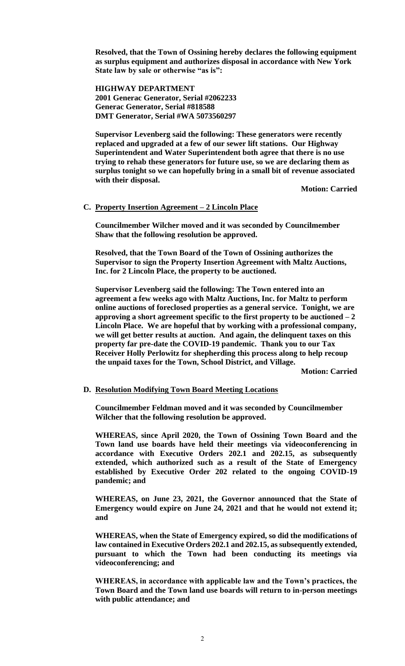**Resolved, that the Town of Ossining hereby declares the following equipment as surplus equipment and authorizes disposal in accordance with New York State law by sale or otherwise "as is":**

**HIGHWAY DEPARTMENT 2001 Generac Generator, Serial #2062233 Generac Generator, Serial #818588 DMT Generator, Serial #WA 5073560297**

**Supervisor Levenberg said the following: These generators were recently replaced and upgraded at a few of our sewer lift stations. Our Highway Superintendent and Water Superintendent both agree that there is no use trying to rehab these generators for future use, so we are declaring them as surplus tonight so we can hopefully bring in a small bit of revenue associated with their disposal.**

**Motion: Carried**

### **C. Property Insertion Agreement – 2 Lincoln Place**

**Councilmember Wilcher moved and it was seconded by Councilmember Shaw that the following resolution be approved.** 

**Resolved, that the Town Board of the Town of Ossining authorizes the Supervisor to sign the Property Insertion Agreement with Maltz Auctions, Inc. for 2 Lincoln Place, the property to be auctioned.** 

**Supervisor Levenberg said the following: The Town entered into an agreement a few weeks ago with Maltz Auctions, Inc. for Maltz to perform online auctions of foreclosed properties as a general service. Tonight, we are approving a short agreement specific to the first property to be auctioned – 2 Lincoln Place. We are hopeful that by working with a professional company, we will get better results at auction. And again, the delinquent taxes on this property far pre-date the COVID-19 pandemic. Thank you to our Tax Receiver Holly Perlowitz for shepherding this process along to help recoup the unpaid taxes for the Town, School District, and Village.**

**Motion: Carried**

#### **D. Resolution Modifying Town Board Meeting Locations**

**Councilmember Feldman moved and it was seconded by Councilmember Wilcher that the following resolution be approved.** 

**WHEREAS, since April 2020, the Town of Ossining Town Board and the Town land use boards have held their meetings via videoconferencing in accordance with Executive Orders 202.1 and 202.15, as subsequently extended, which authorized such as a result of the State of Emergency established by Executive Order 202 related to the ongoing COVID-19 pandemic; and**

**WHEREAS, on June 23, 2021, the Governor announced that the State of Emergency would expire on June 24, 2021 and that he would not extend it; and**

**WHEREAS, when the State of Emergency expired, so did the modifications of law contained in Executive Orders 202.1 and 202.15, as subsequently extended, pursuant to which the Town had been conducting its meetings via videoconferencing; and**

**WHEREAS, in accordance with applicable law and the Town's practices, the Town Board and the Town land use boards will return to in-person meetings with public attendance; and**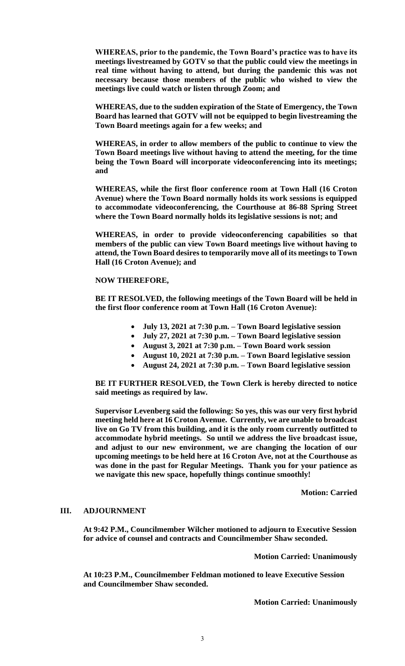**WHEREAS, prior to the pandemic, the Town Board's practice was to have its meetings livestreamed by GOTV so that the public could view the meetings in real time without having to attend, but during the pandemic this was not necessary because those members of the public who wished to view the meetings live could watch or listen through Zoom; and**

**WHEREAS, due to the sudden expiration of the State of Emergency, the Town Board has learned that GOTV will not be equipped to begin livestreaming the Town Board meetings again for a few weeks; and**

**WHEREAS, in order to allow members of the public to continue to view the Town Board meetings live without having to attend the meeting, for the time being the Town Board will incorporate videoconferencing into its meetings; and**

**WHEREAS, while the first floor conference room at Town Hall (16 Croton Avenue) where the Town Board normally holds its work sessions is equipped to accommodate videoconferencing, the Courthouse at 86-88 Spring Street where the Town Board normally holds its legislative sessions is not; and**

**WHEREAS, in order to provide videoconferencing capabilities so that members of the public can view Town Board meetings live without having to attend, the Town Board desires to temporarily move all of its meetings to Town Hall (16 Croton Avenue); and**

### **NOW THEREFORE,**

**BE IT RESOLVED, the following meetings of the Town Board will be held in the first floor conference room at Town Hall (16 Croton Avenue):**

- **July 13, 2021 at 7:30 p.m. – Town Board legislative session**
- **July 27, 2021 at 7:30 p.m. – Town Board legislative session**
- **August 3, 2021 at 7:30 p.m. – Town Board work session**
- **August 10, 2021 at 7:30 p.m. – Town Board legislative session**
- **August 24, 2021 at 7:30 p.m. – Town Board legislative session**

**BE IT FURTHER RESOLVED, the Town Clerk is hereby directed to notice said meetings as required by law.** 

**Supervisor Levenberg said the following: So yes, this was our very first hybrid meeting held here at 16 Croton Avenue. Currently, we are unable to broadcast live on Go TV from this building, and it is the only room currently outfitted to accommodate hybrid meetings. So until we address the live broadcast issue, and adjust to our new environment, we are changing the location of our upcoming meetings to be held here at 16 Croton Ave, not at the Courthouse as was done in the past for Regular Meetings. Thank you for your patience as we navigate this new space, hopefully things continue smoothly!**

**Motion: Carried**

## **III. ADJOURNMENT**

**At 9:42 P.M., Councilmember Wilcher motioned to adjourn to Executive Session for advice of counsel and contracts and Councilmember Shaw seconded.** 

**Motion Carried: Unanimously**

**At 10:23 P.M., Councilmember Feldman motioned to leave Executive Session and Councilmember Shaw seconded.**

**Motion Carried: Unanimously**